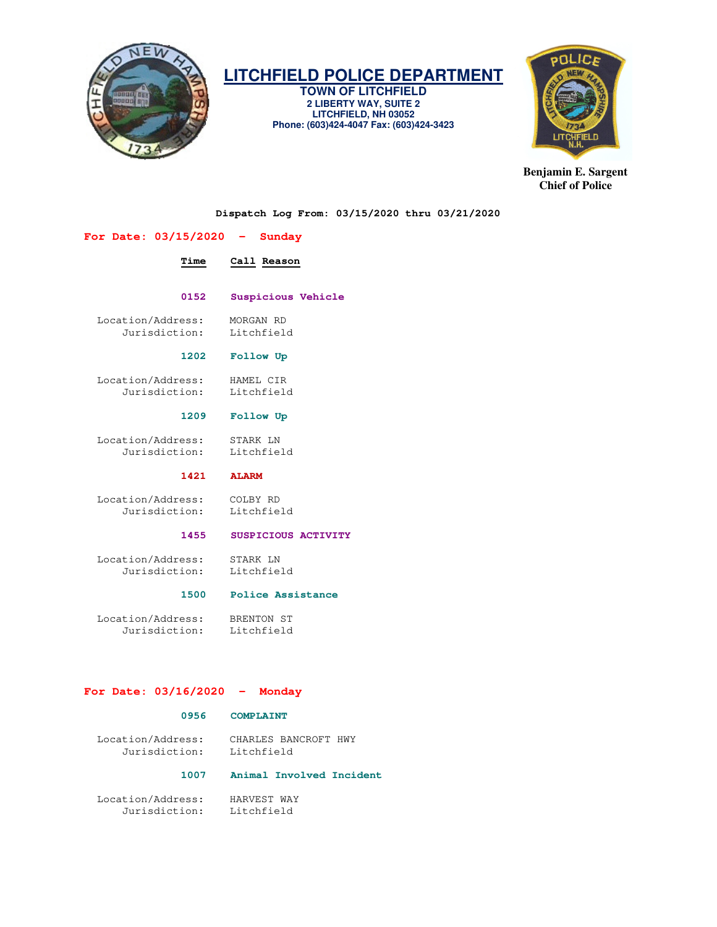

# **LITCHFIELD POLICE DEPARTMENT**

**TOWN OF LITCHFIELD 2 LIBERTY WAY, SUITE 2 LITCHFIELD, NH 03052 Phone: (603)424-4047 Fax: (603)424-3423** 



**Benjamin E. Sargent Chief of Police** 

**Dispatch Log From: 03/15/2020 thru 03/21/2020** 

# **For Date: 03/15/2020 - Sunday**

# **Time Call Reason**

# **0152 Suspicious Vehicle**

Location/Address: MORGAN RD<br>Jurisdiction: Litchfield Jurisdiction:

#### **1202 Follow Up**

 Location/Address: HAMEL CIR Jurisdiction: Litchfield

#### **1209 Follow Up**

 Location/Address: STARK LN Jurisdiction:

 **1421 ALARM** 

 Location/Address: COLBY RD Jurisdiction:

# **1455 SUSPICIOUS ACTIVITY**

 Location/Address: STARK LN Jurisdiction: Litchfield

#### **1500 Police Assistance**

 Location/Address: BRENTON ST Jurisdiction:

# **For Date: 03/16/2020 - Monday**

### **0956 COMPLAINT**

 Location/Address: CHARLES BANCROFT HWY Jurisdiction: Litchfield

#### **1007 Animal Involved Incident**

 Location/Address: HARVEST WAY Jurisdiction: Litchfield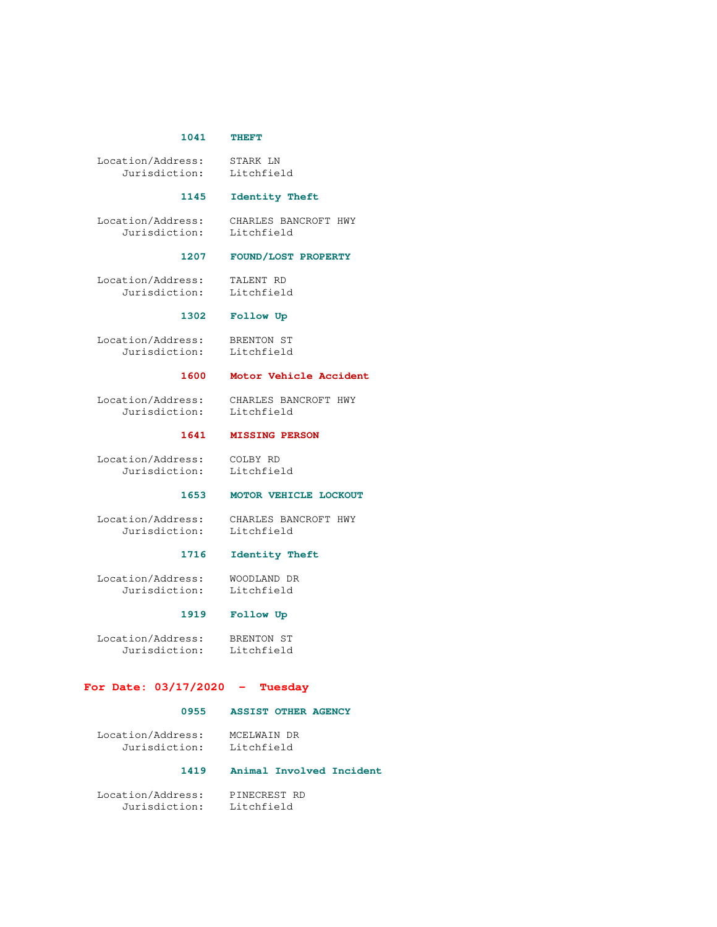#### **1041 THEFT**

 Location/Address: STARK LN Jurisdiction: Litchfield

#### **1145 Identity Theft**

 Location/Address: CHARLES BANCROFT HWY Jurisdiction: Litchfield

### **1207 FOUND/LOST PROPERTY**

 Location/Address: TALENT RD Jurisdiction: Litchfield

# **1302 Follow Up**

 Location/Address: BRENTON ST Jurisdiction: Litchfield

### **1600 Motor Vehicle Accident**

 Location/Address: CHARLES BANCROFT HWY Jurisdiction: Litchfield

#### **1641 MISSING PERSON**

 Location/Address: COLBY RD Jurisdiction: Litchfield

# **1653 MOTOR VEHICLE LOCKOUT**

 Location/Address: CHARLES BANCROFT HWY Jurisdiction: Litchfield

#### **1716 Identity Theft**

 Location/Address: WOODLAND DR Jurisdiction: Litchfield

#### **1919 Follow Up**

Location/Address: BRENTON ST<br>Jurisdiction: Litchfield Jurisdiction:

# **For Date: 03/17/2020 - Tuesday**

#### **0955 ASSIST OTHER AGENCY**

 Location/Address: MCELWAIN DR Jurisdiction: Litchfield

# **1419 Animal Involved Incident**

 Location/Address: PINECREST RD Jurisdiction: Litchfield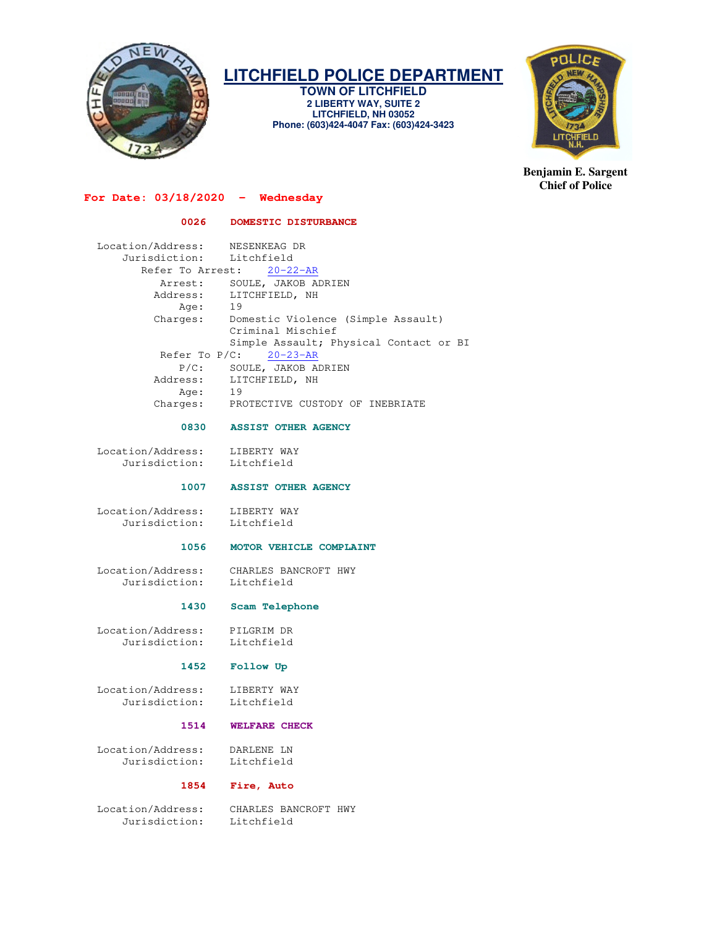

# **LITCHFIELD POLICE DEPARTMENT**

**TOWN OF LITCHFIELD 2 LIBERTY WAY, SUITE 2 LITCHFIELD, NH 03052 Phone: (603)424-4047 Fax: (603)424-3423** 



**Benjamin E. Sargent Chief of Police** 

# **For Date: 03/18/2020 - Wednesday**

 **0026 DOMESTIC DISTURBANCE** 

| Location/Address:<br>Jurisdiction: Litchfield | NESENKEAG DR                           |
|-----------------------------------------------|----------------------------------------|
|                                               | Refer To Arrest: 20-22-AR              |
| Arrest:                                       | SOULE, JAKOB ADRIEN                    |
| Address:                                      | LITCHFIELD, NH                         |
| Age:                                          | 19                                     |
| Charges:                                      | Domestic Violence (Simple Assault)     |
|                                               | Criminal Mischief                      |
|                                               | Simple Assault; Physical Contact or BI |
| Refer To $P/C: 20-23-AR$                      |                                        |
| $P/C$ :                                       | SOULE, JAKOB ADRIEN                    |
| Address:                                      | LITCHFIELD, NH                         |
| Age:                                          | 19                                     |
| Charges:                                      | PROTECTIVE CUSTODY OF INEBRIATE        |

#### **0830 ASSIST OTHER AGENCY**

 Location/Address: LIBERTY WAY Jurisdiction: Litchfield

#### **1007 ASSIST OTHER AGENCY**

Location/Address: LIBERTY WAY<br>Jurisdiction: Litchfield Jurisdiction:

#### **1056 MOTOR VEHICLE COMPLAINT**

 Location/Address: CHARLES BANCROFT HWY Jurisdiction:

#### **1430 Scam Telephone**

 Location/Address: PILGRIM DR Jurisdiction: Litchfield

# **1452 Follow Up**

Location/Address: LIBERTY WAY<br>Jurisdiction: Litchfield Jurisdiction:

#### **1514 WELFARE CHECK**

 Location/Address: DARLENE LN Jurisdiction:

# **1854 Fire, Auto**

Jurisdiction: Litchfield

Location/Address: CHARLES BANCROFT HWY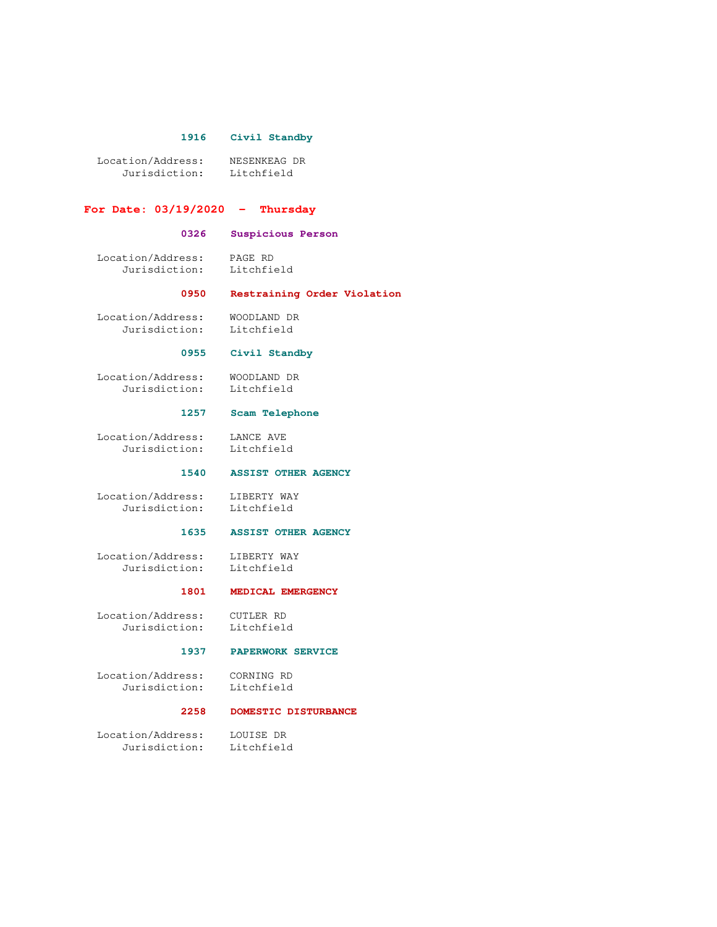#### **1916 Civil Standby**

 Location/Address: NESENKEAG DR Jurisdiction: Litchfield

#### **For Date: 03/19/2020 - Thursday**

#### **0326 Suspicious Person**

 Location/Address: PAGE RD Jurisdiction: Litchfield

#### **0950 Restraining Order Violation**

 Location/Address: WOODLAND DR Jurisdiction: Litchfield

# **0955 Civil Standby**

 Location/Address: WOODLAND DR Jurisdiction: Litchfield

# **1257 Scam Telephone**

 Location/Address: LANCE AVE Jurisdiction: Litchfield

#### **1540 ASSIST OTHER AGENCY**

 Location/Address: LIBERTY WAY Jurisdiction: Litchfield

#### **1635 ASSIST OTHER AGENCY**

 Location/Address: LIBERTY WAY Jurisdiction: Litchfield

# **1801 MEDICAL EMERGENCY**

 Location/Address: CUTLER RD Jurisdiction: Litchfield

#### **1937 PAPERWORK SERVICE**

 Location/Address: CORNING RD Jurisdiction: Litchfield

#### **2258 DOMESTIC DISTURBANCE**

 Location/Address: LOUISE DR Jurisdiction: Litchfield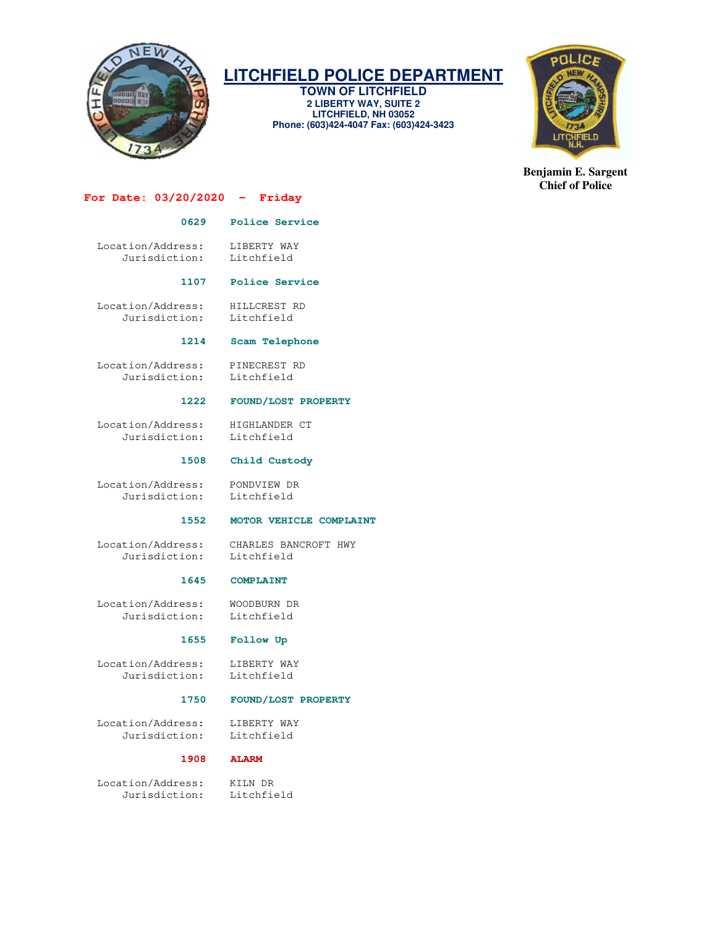

# **LITCHFIELD POLICE DEPARTMENT**

**TOWN OF LITCHFIELD 2 LIBERTY WAY, SUITE 2 LITCHFIELD, NH 03052 Phone: (603)424-4047 Fax: (603)424-3423** 



**Benjamin E. Sargent Chief of Police** 

# **For Date: 03/20/2020 - Friday**

## **0629 Police Service**

Location/Address: LIBERTY WAY<br>Jurisdiction: Litchfield Jurisdiction:

#### **1107 Police Service**

 Location/Address: HILLCREST RD Jurisdiction: Litchfield

#### **1214 Scam Telephone**

 Location/Address: PINECREST RD Jurisdiction: Litchfield

### **1222 FOUND/LOST PROPERTY**

Location/Address: HIGHLANDER CT<br>Jurisdiction: Litchfield Jurisdiction:

#### **1508 Child Custody**

 Location/Address: PONDVIEW DR Jurisdiction:

# **1552 MOTOR VEHICLE COMPLAINT**

 Location/Address: CHARLES BANCROFT HWY Jurisdiction: Litchfield

### **1645 COMPLAINT**

 Location/Address: WOODBURN DR Jurisdiction:

# **1655 Follow Up**

Location/Address: LIBERTY WAY<br>Jurisdiction: Litchfield Jurisdiction:

### **1750 FOUND/LOST PROPERTY**

 Location/Address: LIBERTY WAY Jurisdiction: Litchfield

#### **1908 ALARM**

 Location/Address: KILN DR Jurisdiction: Litchfield